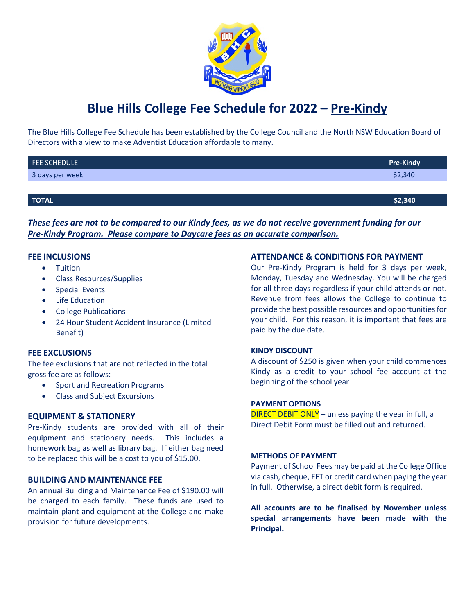

# **Blue Hills College Fee Schedule for 2022 – Pre-Kindy**

The Blue Hills College Fee Schedule has been established by the College Council and the North NSW Education Board of Directors with a view to make Adventist Education affordable to many.

| FEE SCHEDULE    | <b>Pre-Kindy</b> |
|-----------------|------------------|
| 3 days per week | \$2,340          |
|                 |                  |
| TOTAL           | \$2,340          |

*These fees are not to be compared to our Kindy fees, as we do not receive government funding for our Pre-Kindy Program. Please compare to Daycare fees as an accurate comparison.*

### **FEE INCLUSIONS**

- Tuition
- Class Resources/Supplies
- Special Events
- Life Education
- College Publications
- 24 Hour Student Accident Insurance (Limited Benefit)

#### **FEE EXCLUSIONS**

The fee exclusions that are not reflected in the total gross fee are as follows:

- Sport and Recreation Programs
- Class and Subject Excursions

# **EQUIPMENT & STATIONERY**

Pre-Kindy students are provided with all of their equipment and stationery needs. This includes a homework bag as well as library bag. If either bag need to be replaced this will be a cost to you of \$15.00.

# **BUILDING AND MAINTENANCE FEE**

An annual Building and Maintenance Fee of \$190.00 will be charged to each family. These funds are used to maintain plant and equipment at the College and make provision for future developments.

#### **ATTENDANCE & CONDITIONS FOR PAYMENT**

Our Pre-Kindy Program is held for 3 days per week, Monday, Tuesday and Wednesday. You will be charged for all three days regardless if your child attends or not. Revenue from fees allows the College to continue to provide the best possible resources and opportunities for your child. For this reason, it is important that fees are paid by the due date.

#### **KINDY DISCOUNT**

A discount of \$250 is given when your child commences Kindy as a credit to your school fee account at the beginning of the school year

#### **PAYMENT OPTIONS**

DIRECT DEBIT ONLY – unless paying the year in full, a Direct Debit Form must be filled out and returned.

#### **METHODS OF PAYMENT**

Payment of School Fees may be paid at the College Office via cash, cheque, EFT or credit card when paying the year in full. Otherwise, a direct debit form is required.

**All accounts are to be finalised by November unless special arrangements have been made with the Principal.**